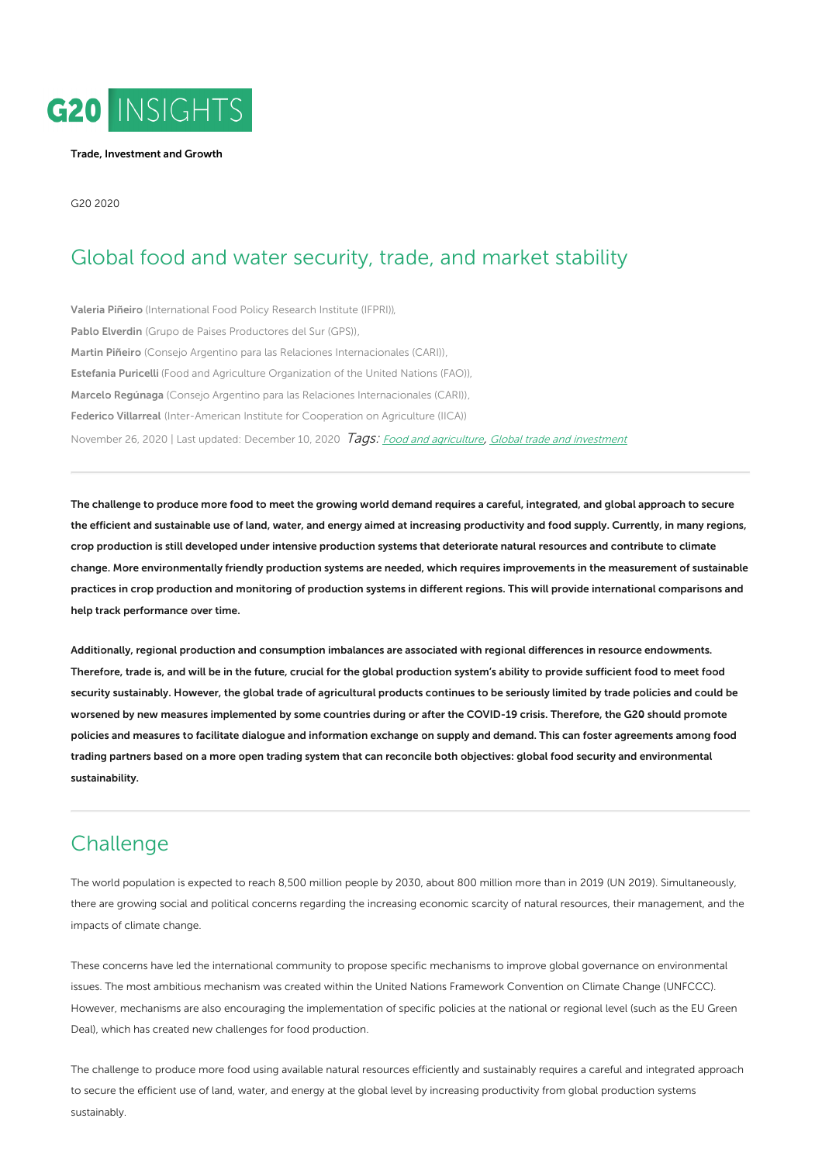

#### Trade, [Investment](https://www.g20-insights.org/policy_area/trade-investment-cooperation/) and Growth

G20 2020

## Global food and water security, trade, and market stability

[Valeria](https://www.g20-insights.org/authors/valeria-pineiro/) Piñeiro [\(International](https://www.g20-insights.org/think_tanks/international-food-policy-research-institute-ifpri/) Food Policy Research Institute (IFPRI)), Pablo [Elverdin](https://www.g20-insights.org/authors/pablo-elverdin/) (Grupo de Paises [Productores](https://www.g20-insights.org/think_tanks/grupo-de-paises-productores-del-sur-gps/) del Sur (GPS)), Martin [Piñeiro](https://www.g20-insights.org/authors/martin-pineiro/) (Consejo Argentino para las Relaciones [Internacionales](https://www.g20-insights.org/think_tanks/consejo-argentino-para-las-relaciones-internacionales-cari/) (CARI)), [Estefania](https://www.g20-insights.org/authors/estefania-puricelli/) Puricelli (Food and Agriculture [Organization](https://www.g20-insights.org/think_tanks/food-and-agriculture-organization-of-the-united-nations-fao/) of the United Nations (FAO)), Marcelo [Regúnaga](https://www.g20-insights.org/authors/marcelo-regunaga/) (Consejo Argentino para las Relaciones [Internacionales](https://www.g20-insights.org/think_tanks/consejo-argentino-para-las-relaciones-internacionales-cari/) (CARI)), Federico [Villarreal](https://www.g20-insights.org/authors/federico-villarreal/) [\(Inter-American](https://www.g20-insights.org/think_tanks/inter-american-institute-for-cooperation-on-agriculture/) Institute for Cooperation on Agriculture (IICA)) November 26, 2020 | Last updated: December 10, 2020 Tags: Food and [agriculture](/tag/food-and-agriculture), Global trade and [investment](/tag/global-trade-and-investment)

The challenge to produce more food to meet the growing world demand requires a careful, integrated, and global approach to secure the efficient and sustainable use of land, water, and energy aimed at increasing productivity and food supply. Currently, in many regions, crop production is still developed under intensive production systems that deteriorate natural resources and contribute to climate change. More environmentally friendly production systems are needed, which requires improvements in the measurement of sustainable practices in crop production and monitoring of production systems in different regions. This will provide international comparisons and help track performance over time.

Additionally, regional production and consumption imbalances are associated with regional differences in resource endowments. Therefore, trade is, and will be in the future, crucial for the global production system's ability to provide sufficient food to meet food security sustainably. However, the global trade of agricultural products continues to be seriously limited by trade policies and could be worsened by new measures implemented by some countries during or after the COVID-19 crisis. Therefore, the G20 should promote policies and measures to facilitate dialogue and information exchange on supply and demand. This can foster agreements among food trading partners based on a more open trading system that can reconcile both objectives: global food security and environmental sustainability.

# **Challenge**

The world population is expected to reach 8,500 million people by 2030, about 800 million more than in 2019 (UN 2019). Simultaneously, there are growing social and political concerns regarding the increasing economic scarcity of natural resources, their management, and the impacts of climate change.

These concerns have led the international community to propose specific mechanisms to improve global governance on environmental issues. The most ambitious mechanism was created within the United Nations Framework Convention on Climate Change (UNFCCC). However, mechanisms are also encouraging the implementation of specific policies at the national or regional level (such as the EU Green Deal), which has created new challenges for food production.

The challenge to produce more food using available natural resources efficiently and sustainably requires a careful and integrated approach to secure the efficient use of land, water, and energy at the global level by increasing productivity from global production systems sustainably.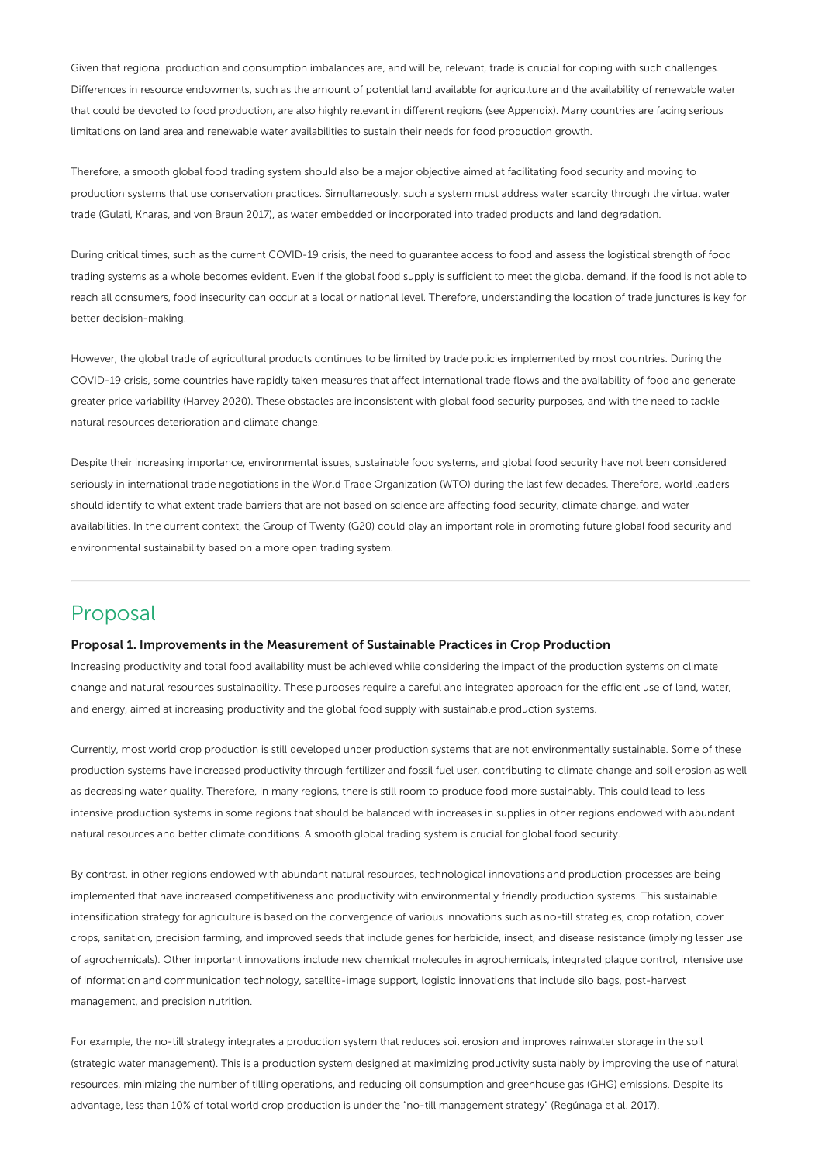Given that regional production and consumption imbalances are, and will be, relevant, trade is crucial for coping with such challenges. Differences in resource endowments, such as the amount of potential land available for agriculture and the availability of renewable water that could be devoted to food production, are also highly relevant in different regions (see Appendix). Many countries are facing serious limitations on land area and renewable water availabilities to sustain their needs for food production growth.

Therefore, a smooth global food trading system should also be a major objective aimed at facilitating food security and moving to production systems that use conservation practices. Simultaneously, such a system must address water scarcity through the virtual water trade (Gulati, Kharas, and von Braun 2017), as water embedded or incorporated into traded products and land degradation.

During critical times, such as the current COVID-19 crisis, the need to guarantee access to food and assess the logistical strength of food trading systems as a whole becomes evident. Even if the global food supply is sufficient to meet the global demand, if the food is not able to reach all consumers, food insecurity can occur at a local or national level. Therefore, understanding the location of trade junctures is key for better decision-making.

However, the global trade of agricultural products continues to be limited by trade policies implemented by most countries. During the COVID-19 crisis, some countries have rapidly taken measures that affect international trade flows and the availability of food and generate greater price variability (Harvey 2020). These obstacles are inconsistent with global food security purposes, and with the need to tackle natural resources deterioration and climate change.

Despite their increasing importance, environmental issues, sustainable food systems, and global food security have not been considered seriously in international trade negotiations in the World Trade Organization (WTO) during the last few decades. Therefore, world leaders should identify to what extent trade barriers that are not based on science are affecting food security, climate change, and water availabilities. In the current context, the Group of Twenty (G20) could play an important role in promoting future global food security and environmental sustainability based on a more open trading system.

## Proposal

### Proposal 1. Improvements in the Measurement of Sustainable Practices in Crop Production

Increasing productivity and total food availability must be achieved while considering the impact of the production systems on climate change and natural resources sustainability. These purposes require a careful and integrated approach for the efficient use of land, water, and energy, aimed at increasing productivity and the global food supply with sustainable production systems.

Currently, most world crop production is still developed under production systems that are not environmentally sustainable. Some of these production systems have increased productivity through fertilizer and fossil fuel user, contributing to climate change and soil erosion as well as decreasing water quality. Therefore, in many regions, there is still room to produce food more sustainably. This could lead to less intensive production systems in some regions that should be balanced with increases in supplies in other regions endowed with abundant natural resources and better climate conditions. A smooth global trading system is crucial for global food security.

By contrast, in other regions endowed with abundant natural resources, technological innovations and production processes are being implemented that have increased competitiveness and productivity with environmentally friendly production systems. This sustainable intensification strategy for agriculture is based on the convergence of various innovations such as no-till strategies, crop rotation, cover crops, sanitation, precision farming, and improved seeds that include genes for herbicide, insect, and disease resistance (implying lesser use of agrochemicals). Other important innovations include new chemical molecules in agrochemicals, integrated plague control, intensive use of information and communication technology, satellite-image support, logistic innovations that include silo bags, post-harvest management, and precision nutrition.

For example, the no-till strategy integrates a production system that reduces soil erosion and improves rainwater storage in the soil (strategic water management). This is a production system designed at maximizing productivity sustainably by improving the use of natural resources, minimizing the number of tilling operations, and reducing oil consumption and greenhouse gas (GHG) emissions. Despite its advantage, less than 10% of total world crop production is under the "no-till management strategy" (Regúnaga et al. 2017).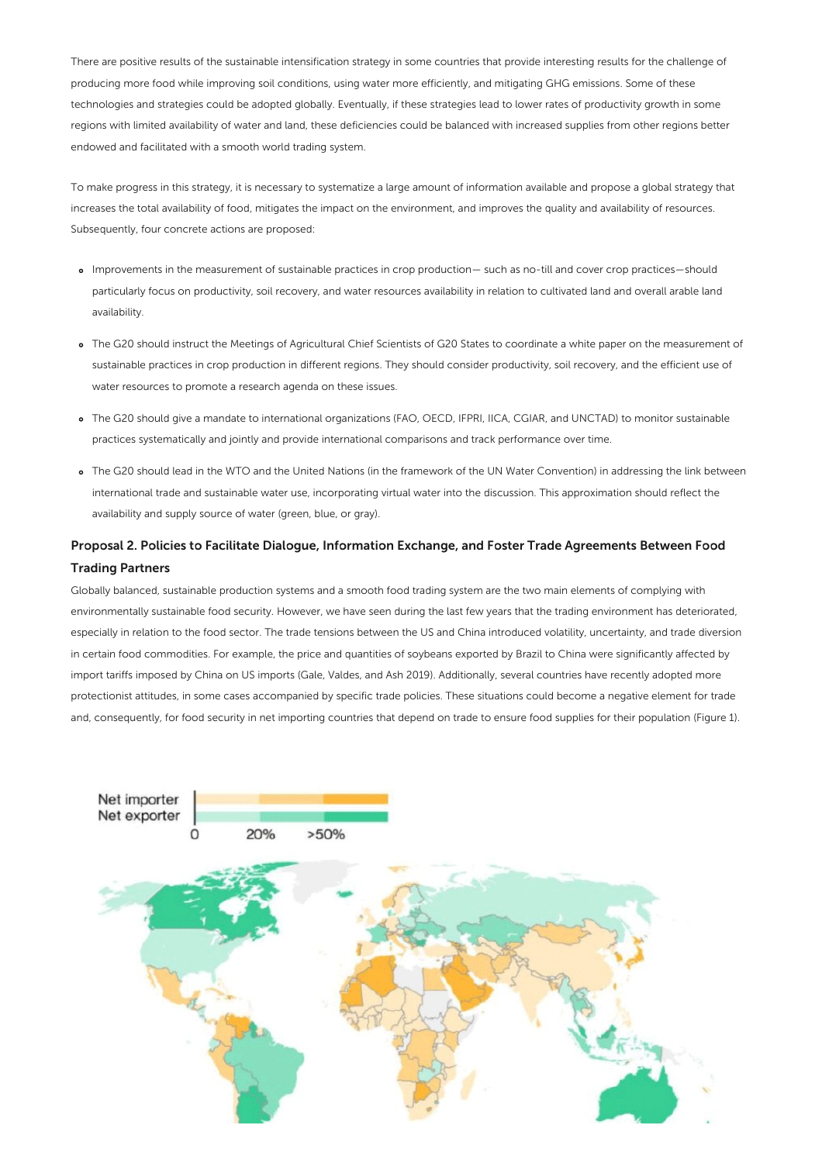There are positive results of the sustainable intensification strategy in some countries that provide interesting results for the challenge of producing more food while improving soil conditions, using water more efficiently, and mitigating GHG emissions. Some of these technologies and strategies could be adopted globally. Eventually, if these strategies lead to lower rates of productivity growth in some regions with limited availability of water and land, these deficiencies could be balanced with increased supplies from other regions better endowed and facilitated with a smooth world trading system.

To make progress in this strategy, it is necessary to systematize a large amount of information available and propose a global strategy that increases the total availability of food, mitigates the impact on the environment, and improves the quality and availability of resources. Subsequently, four concrete actions are proposed:

- Improvements in the measurement of sustainable practices in crop production— such as no-till and cover crop practices—should particularly focus on productivity, soil recovery, and water resources availability in relation to cultivated land and overall arable land availability.
- The G20 should instruct the Meetings of Agricultural Chief Scientists of G20 States to coordinate a white paper on the measurement of sustainable practices in crop production in different regions. They should consider productivity, soil recovery, and the efficient use of water resources to promote a research agenda on these issues.
- The G20 should give a mandate to international organizations (FAO, OECD, IFPRI, IICA, CGIAR, and UNCTAD) to monitor sustainable practices systematically and jointly and provide international comparisons and track performance over time.
- The G20 should lead in the WTO and the United Nations (in the framework of the UN Water Convention) in addressing the link between international trade and sustainable water use, incorporating virtual water into the discussion. This approximation should reflect the availability and supply source of water (green, blue, or gray).

### Proposal 2. Policies to Facilitate Dialogue, Information Exchange, and Foster Trade Agreements Between Food Trading Partners

Globally balanced, sustainable production systems and a smooth food trading system are the two main elements of complying with environmentally sustainable food security. However, we have seen during the last few years that the trading environment has deteriorated, especially in relation to the food sector. The trade tensions between the US and China introduced volatility, uncertainty, and trade diversion in certain food commodities. For example, the price and quantities of soybeans exported by Brazil to China were significantly affected by import tariffs imposed by China on US imports (Gale, Valdes, and Ash 2019). Additionally, several countries have recently adopted more protectionist attitudes, in some cases accompanied by specific trade policies. These situations could become a negative element for trade and, consequently, for food security in net importing countries that depend on trade to ensure food supplies for their population (Figure 1).

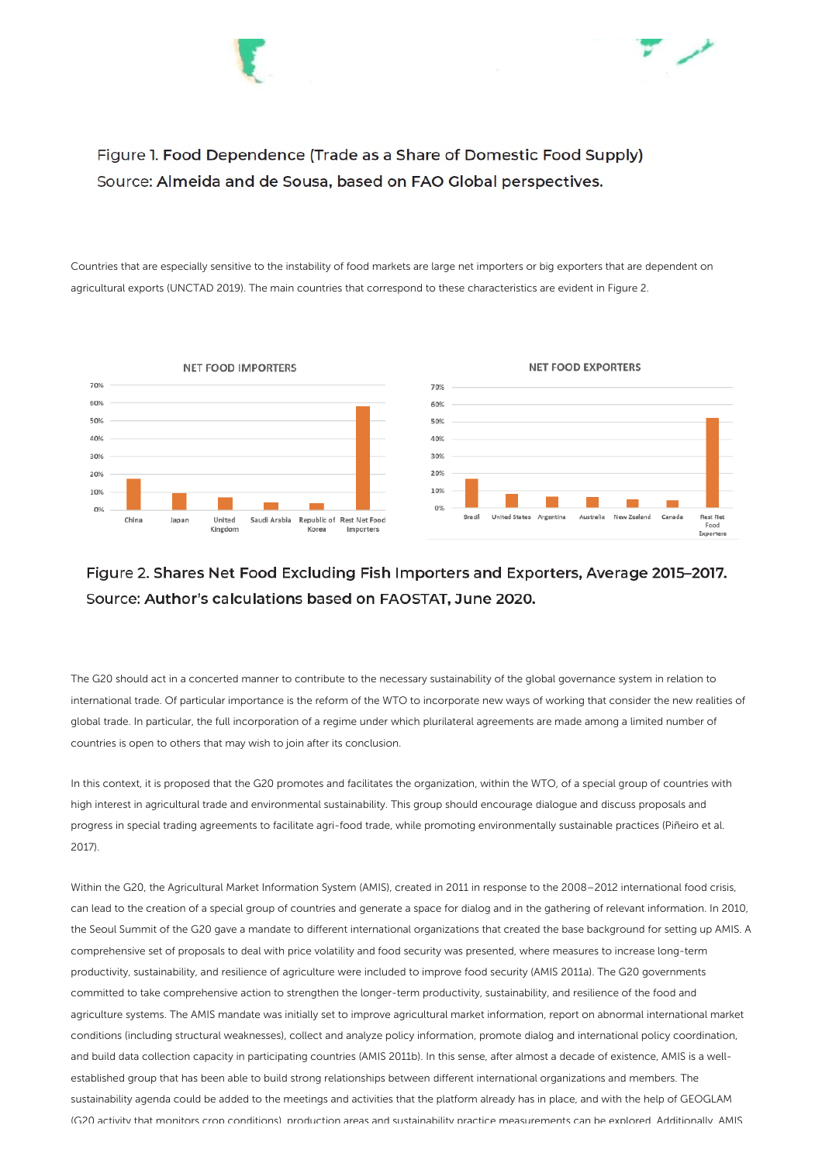



Figure 1. Food Dependence (Trade as a Share of Domestic Food Supply) Source: Almeida and de Sousa, based on FAO Global perspectives.

Countries that are especially sensitive to the instability of food markets are large net importers or big exporters that are dependent on agricultural exports (UNCTAD 2019). The main countries that correspond to these characteristics are evident in Figure 2.



### Figure 2. Shares Net Food Excluding Fish Importers and Exporters, Average 2015-2017. Source: Author's calculations based on FAOSTAT, June 2020.

The G20 should act in a concerted manner to contribute to the necessary sustainability of the global governance system in relation to international trade. Of particular importance is the reform of the WTO to incorporate new ways of working that consider the new realities of global trade. In particular, the full incorporation of a regime under which plurilateral agreements are made among a limited number of countries is open to others that may wish to join after its conclusion.

In this context, it is proposed that the G20 promotes and facilitates the organization, within the WTO, of a special group of countries with high interest in agricultural trade and environmental sustainability. This group should encourage dialogue and discuss proposals and progress in special trading agreements to facilitate agri-food trade, while promoting environmentally sustainable practices (Piñeiro et al. 2017).

Within the G20, the Agricultural Market Information System (AMIS), created in 2011 in response to the 2008–2012 international food crisis, can lead to the creation of a special group of countries and generate a space for dialog and in the gathering of relevant information. In 2010, the Seoul Summit of the G20 gave a mandate to different international organizations that created the base background for setting up AMIS. A comprehensive set of proposals to deal with price volatility and food security was presented, where measures to increase long-term productivity, sustainability, and resilience of agriculture were included to improve food security (AMIS 2011a). The G20 governments committed to take comprehensive action to strengthen the longer-term productivity, sustainability, and resilience of the food and agriculture systems. The AMIS mandate was initially set to improve agricultural market information, report on abnormal international market conditions (including structural weaknesses), collect and analyze policy information, promote dialog and international policy coordination, and build data collection capacity in participating countries (AMIS 2011b). In this sense, after almost a decade of existence, AMIS is a wellestablished group that has been able to build strong relationships between different international organizations and members. The sustainability agenda could be added to the meetings and activities that the platform already has in place, and with the help of GEOGLAM (G20 activity that monitors crop conditions), production areas and sustainability practice measurements can be explored. Additionally, AMIS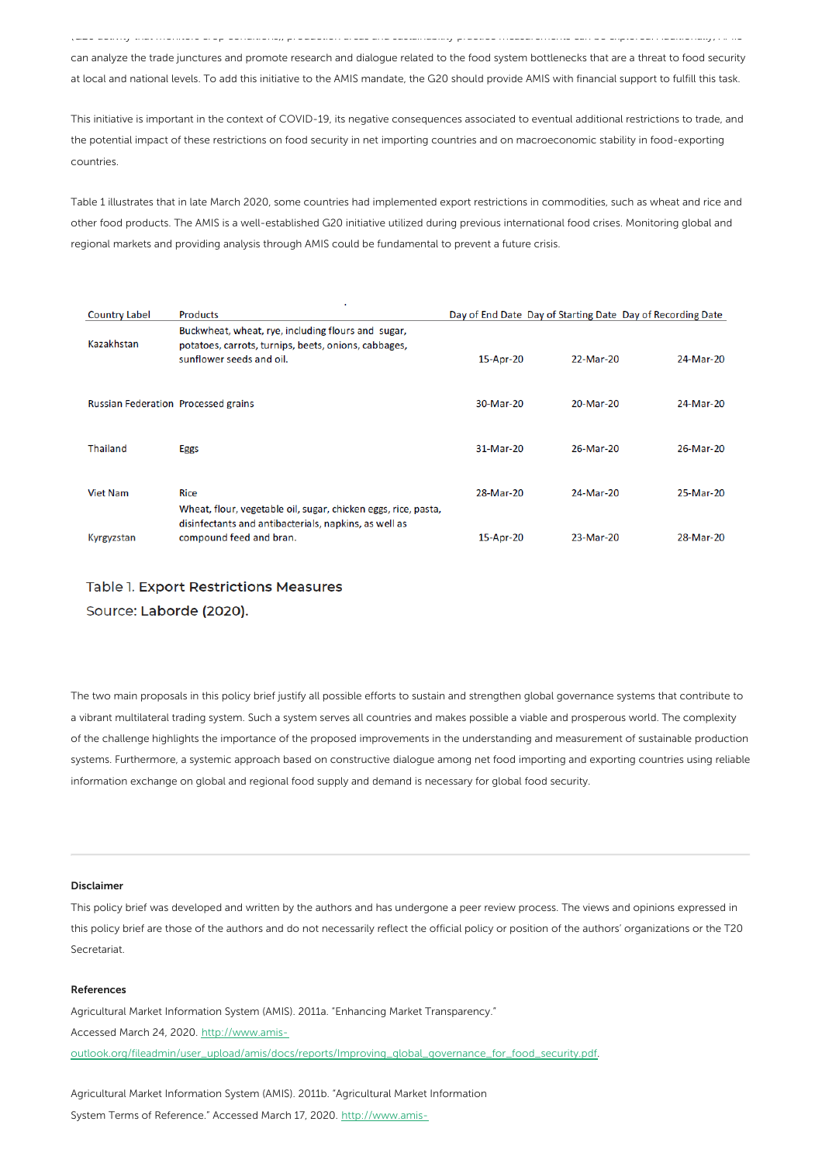(G20 activity that monitors crop conditions), production areas and sustainability practice measurements can be explored. Additionally, AMIS can analyze the trade junctures and promote research and dialogue related to the food system bottlenecks that are a threat to food security at local and national levels. To add this initiative to the AMIS mandate, the G20 should provide AMIS with financial support to fulfill this task.

This initiative is important in the context of COVID-19, its negative consequences associated to eventual additional restrictions to trade, and the potential impact of these restrictions on food security in net importing countries and on macroeconomic stability in food-exporting countries.

Table 1 illustrates that in late March 2020, some countries had implemented export restrictions in commodities, such as wheat and rice and other food products. The AMIS is a well-established G20 initiative utilized during previous international food crises. Monitoring global and regional markets and providing analysis through AMIS could be fundamental to prevent a future crisis.

| <b>Country Label</b>                       | <b>Products</b>                                                                                                                        |           | Day of End Date Day of Starting Date Day of Recording Date |           |
|--------------------------------------------|----------------------------------------------------------------------------------------------------------------------------------------|-----------|------------------------------------------------------------|-----------|
| Kazakhstan                                 | Buckwheat, wheat, rye, including flours and sugar,<br>potatoes, carrots, turnips, beets, onions, cabbages,<br>sunflower seeds and oil. | 15-Apr-20 | 22-Mar-20                                                  | 24-Mar-20 |
| <b>Russian Federation Processed grains</b> |                                                                                                                                        | 30-Mar-20 | 20-Mar-20                                                  | 24-Mar-20 |
| <b>Thailand</b>                            | Eggs                                                                                                                                   | 31-Mar-20 | 26-Mar-20                                                  | 26-Mar-20 |
| <b>Viet Nam</b>                            | <b>Rice</b><br>Wheat, flour, vegetable oil, sugar, chicken eggs, rice, pasta,                                                          | 28-Mar-20 | 24-Mar-20                                                  | 25-Mar-20 |
| Kyrgyzstan                                 | disinfectants and antibacterials, napkins, as well as<br>compound feed and bran.                                                       | 15-Apr-20 | 23-Mar-20                                                  | 28-Mar-20 |

### Table 1. Export Restrictions Measures Source: Laborde (2020).

The two main proposals in this policy brief justify all possible efforts to sustain and strengthen global governance systems that contribute to a vibrant multilateral trading system. Such a system serves all countries and makes possible a viable and prosperous world. The complexity of the challenge highlights the importance of the proposed improvements in the understanding and measurement of sustainable production systems. Furthermore, a systemic approach based on constructive dialogue among net food importing and exporting countries using reliable information exchange on global and regional food supply and demand is necessary for global food security.

#### Disclaimer

This policy brief was developed and written by the authors and has undergone a peer review process. The views and opinions expressed in this policy brief are those of the authors and do not necessarily reflect the official policy or position of the authors' organizations or the T20 **Secretariat** 

#### References

Agricultural Market Information System (AMIS). 2011a. "Enhancing Market Transparency." Accessed March 24, 2020. http://www.amis[outlook.org/fileadmin/user\\_upload/amis/docs/reports/Improving\\_global\\_governance\\_for\\_food\\_security.pdf](http://www.amis-outlook.org/fileadmin/user_upload/amis/docs/reports/Improving_global_governance_for_food_security.pdf).

Agricultural Market Information System (AMIS). 2011b. "Agricultural Market Information System Terms of Reference." Accessed March 17, 2020. http://www.amis-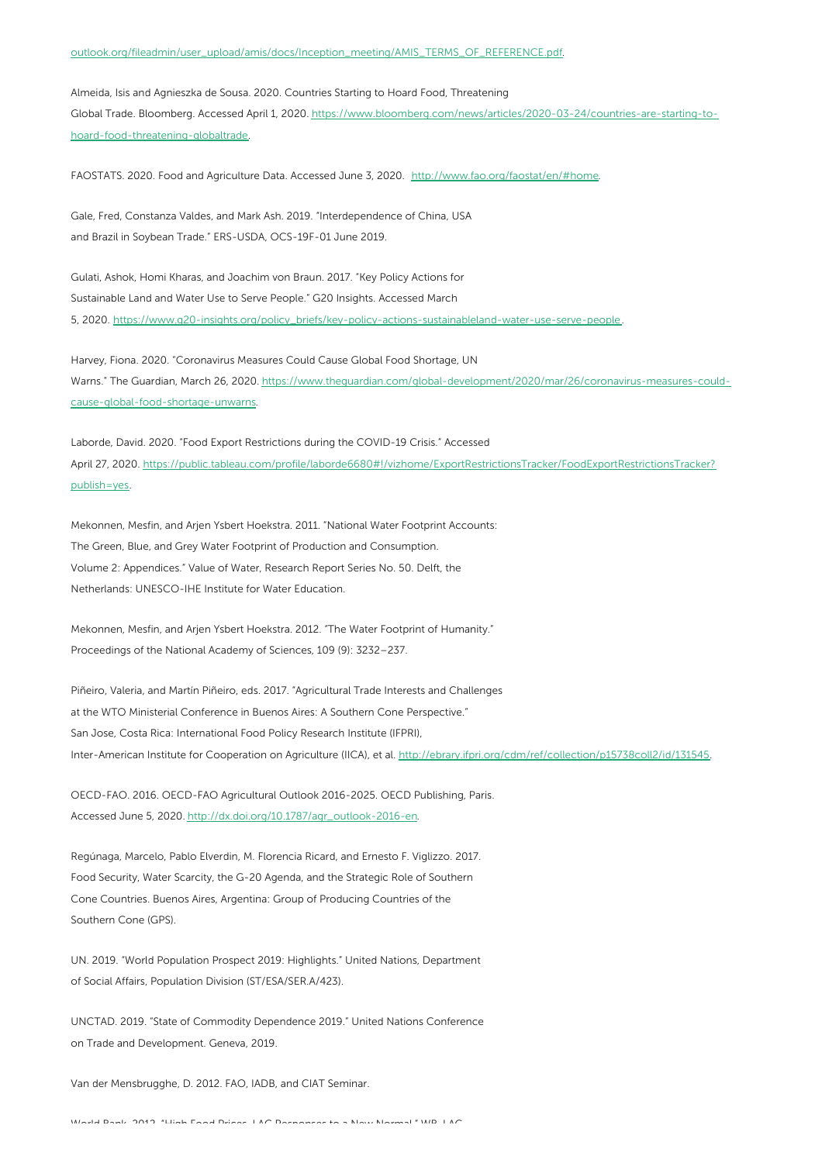#### [outlook.org/fileadmin/user\\_upload/amis/docs/Inception\\_meeting/AMIS\\_TERMS\\_OF\\_REFERENCE.pdf.](http://www.amis-outlook.org/fileadmin/user_upload/amis/docs/Inception_meeting/AMIS_TERMS_OF_REFERENCE.pdf)

Almeida, Isis and Agnieszka de Sousa. 2020. Countries Starting to Hoard Food, Threatening Global Trade. Bloomberg. Accessed April 1, 2020. [https://www.bloomberg.com/news/articles/2020-03-24/countries-are-starting-to](https://www.bloomberg.com/news/articles/2020-03-24/countries-are-starting-to-hoard-food-threatening-globaltrade)hoard-food-threatening-globaltrade.

FAOSTATS. 2020. Food and Agriculture Data. Accessed June 3, 2020. <http://www.fao.org/faostat/en/#home>.

Gale, Fred, Constanza Valdes, and Mark Ash. 2019. "Interdependence of China, USA and Brazil in Soybean Trade." ERS-USDA, OCS-19F-01 June 2019.

Gulati, Ashok, Homi Kharas, and Joachim von Braun. 2017. "Key Policy Actions for Sustainable Land and Water Use to Serve People." G20 Insights. Accessed March 5, 2020. [https://www.g20-insights.org/policy\\_briefs/key-policy-actions-sustainableland-water-use-serve-people.](https://www.g20-insights.org/policy_briefs/key-policy-actions-sustainableland-water-use-serve-people)

Harvey, Fiona. 2020. "Coronavirus Measures Could Cause Global Food Shortage, UN Warns." The Guardian, March 26, 2020. [https://www.theguardian.com/global-development/2020/mar/26/coronavirus-measures-could](https://www.theguardian.com/global-development/2020/mar/26/coronavirus-measures-could-cause-global-food-shortage-unwarns)cause-global-food-shortage-unwarns.

Laborde, David. 2020. "Food Export Restrictions during the COVID-19 Crisis." Accessed April 27, 2020. [https://public.tableau.com/profile/laborde6680#!/vizhome/ExportRestrictionsTracker/FoodExportRestrictionsTracker?](https://public.tableau.com/profile/laborde6680#!/vizhome/ExportRestrictionsTracker/FoodExportRestrictionsTracker?publish=yes) publish=yes.

Mekonnen, Mesfin, and Arjen Ysbert Hoekstra. 2011. "National Water Footprint Accounts: The Green, Blue, and Grey Water Footprint of Production and Consumption. Volume 2: Appendices." Value of Water, Research Report Series No. 50. Delft, the Netherlands: UNESCO-IHE Institute for Water Education.

Mekonnen, Mesfin, and Arjen Ysbert Hoekstra. 2012. "The Water Footprint of Humanity." Proceedings of the National Academy of Sciences, 109 (9): 3232–237.

Piñeiro, Valeria, and Martín Piñeiro, eds. 2017. "Agricultural Trade Interests and Challenges at the WTO Ministerial Conference in Buenos Aires: A Southern Cone Perspective." San Jose, Costa Rica: International Food Policy Research Institute (IFPRI), Inter-American Institute for Cooperation on Agriculture (IICA), et al. <http://ebrary.ifpri.org/cdm/ref/collection/p15738coll2/id/131545>.

OECD-FAO. 2016. OECD-FAO Agricultural Outlook 2016-2025. OECD Publishing, Paris. Accessed June 5, 2020. [http://dx.doi.org/10.1787/agr\\_outlook-2016-en](http://dx.doi.org/10.1787/agr_outlook-2016-en).

Regúnaga, Marcelo, Pablo Elverdin, M. Florencia Ricard, and Ernesto F. Viglizzo. 2017. Food Security, Water Scarcity, the G-20 Agenda, and the Strategic Role of Southern Cone Countries. Buenos Aires, Argentina: Group of Producing Countries of the Southern Cone (GPS).

UN. 2019. "World Population Prospect 2019: Highlights." United Nations, Department of Social Affairs, Population Division (ST/ESA/SER.A/423).

UNCTAD. 2019. "State of Commodity Dependence 2019." United Nations Conference on Trade and Development. Geneva, 2019.

Van der Mensbrugghe, D. 2012. FAO, IADB, and CIAT Seminar.